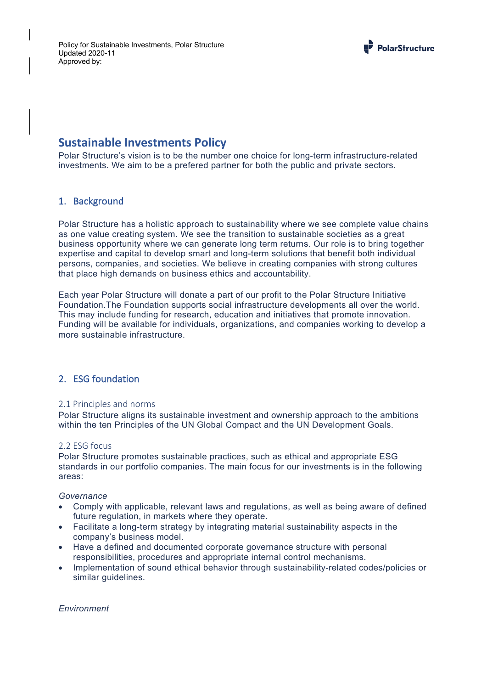

# **Sustainable Investments Policy**

Polar Structure's vision is to be the number one choice for long-term infrastructure-related investments. We aim to be a prefered partner for both the public and private sectors.

# 1. Background

Polar Structure has a holistic approach to sustainability where we see complete value chains as one value creating system. We see the transition to sustainable societies as a great business opportunity where we can generate long term returns. Our role is to bring together expertise and capital to develop smart and long-term solutions that benefit both individual persons, companies, and societies. We believe in creating companies with strong cultures that place high demands on business ethics and accountability.

Each year Polar Structure will donate a part of our profit to the Polar Structure Initiative Foundation.The Foundation supports social infrastructure developments all over the world. This may include funding for research, education and initiatives that promote innovation. Funding will be available for individuals, organizations, and companies working to develop a more sustainable infrastructure.

# 2. ESG foundation

#### 2.1 Principles and norms

Polar Structure aligns its sustainable investment and ownership approach to the ambitions within the ten Principles of the UN Global Compact and the UN Development Goals.

#### 2.2 ESG focus

Polar Structure promotes sustainable practices, such as ethical and appropriate ESG standards in our portfolio companies. The main focus for our investments is in the following areas:

#### *Governance*

- Comply with applicable, relevant laws and regulations, as well as being aware of defined future regulation, in markets where they operate.
- Facilitate a long-term strategy by integrating material sustainability aspects in the company's business model.
- Have a defined and documented corporate governance structure with personal responsibilities, procedures and appropriate internal control mechanisms.
- Implementation of sound ethical behavior through sustainability-related codes/policies or similar guidelines.

*Environment*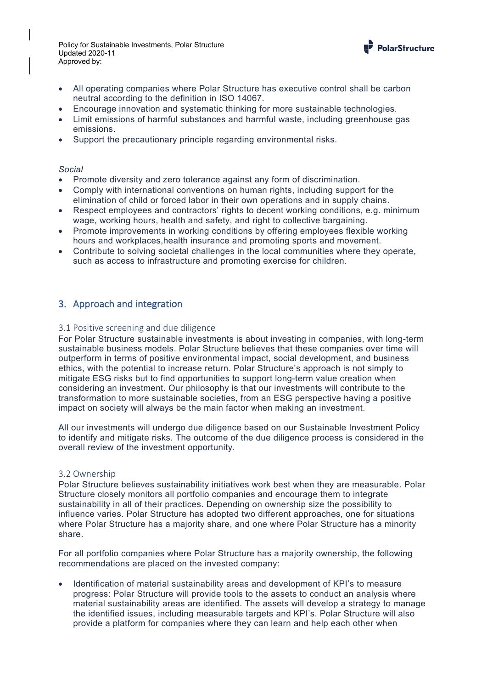Policy for Sustainable Investments, Polar Structure Updated 2020-11 Approved by:



- All operating companies where Polar Structure has executive control shall be carbon neutral according to the definition in ISO 14067.
- Encourage innovation and systematic thinking for more sustainable technologies.
- Limit emissions of harmful substances and harmful waste, including greenhouse gas emissions.
- Support the precautionary principle regarding environmental risks.

#### *Social*

- Promote diversity and zero tolerance against any form of discrimination.
- Comply with international conventions on human rights, including support for the elimination of child or forced labor in their own operations and in supply chains.
- Respect employees and contractors' rights to decent working conditions, e.g. minimum wage, working hours, health and safety, and right to collective bargaining.
- Promote improvements in working conditions by offering employees flexible working hours and workplaces,health insurance and promoting sports and movement.
- Contribute to solving societal challenges in the local communities where they operate, such as access to infrastructure and promoting exercise for children.

# 3. Approach and integration

#### 3.1 Positive screening and due diligence

For Polar Structure sustainable investments is about investing in companies, with long-term sustainable business models. Polar Structure believes that these companies over time will outperform in terms of positive environmental impact, social development, and business ethics, with the potential to increase return. Polar Structure's approach is not simply to mitigate ESG risks but to find opportunities to support long-term value creation when considering an investment. Our philosophy is that our investments will contribute to the transformation to more sustainable societies, from an ESG perspective having a positive impact on society will always be the main factor when making an investment.

All our investments will undergo due diligence based on our Sustainable Investment Policy to identify and mitigate risks. The outcome of the due diligence process is considered in the overall review of the investment opportunity.

#### 3.2 Ownership

Polar Structure believes sustainability initiatives work best when they are measurable. Polar Structure closely monitors all portfolio companies and encourage them to integrate sustainability in all of their practices. Depending on ownership size the possibility to influence varies. Polar Structure has adopted two different approaches, one for situations where Polar Structure has a majority share, and one where Polar Structure has a minority share.

For all portfolio companies where Polar Structure has a majority ownership, the following recommendations are placed on the invested company:

• Identification of material sustainability areas and development of KPI's to measure progress: Polar Structure will provide tools to the assets to conduct an analysis where material sustainability areas are identified. The assets will develop a strategy to manage the identified issues, including measurable targets and KPI's. Polar Structure will also provide a platform for companies where they can learn and help each other when